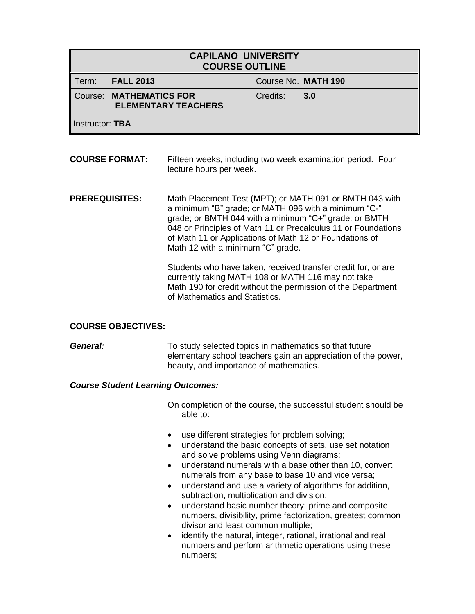| <b>CAPILANO UNIVERSITY</b><br><b>COURSE OUTLINE</b> |                                                       |                     |     |
|-----------------------------------------------------|-------------------------------------------------------|---------------------|-----|
| Term:                                               | <b>FALL 2013</b>                                      | Course No. MATH 190 |     |
|                                                     | Course: MATHEMATICS FOR<br><b>ELEMENTARY TEACHERS</b> | Credits:            | 3.0 |
| Instructor: TBA                                     |                                                       |                     |     |

# **COURSE FORMAT:** Fifteen weeks, including two week examination period. Four lecture hours per week.

**PREREQUISITES:** Math Placement Test (MPT); or MATH 091 or BMTH 043 with a minimum "B" grade; or MATH 096 with a minimum "C-" grade; or BMTH 044 with a minimum "C+" grade; or BMTH 048 or Principles of Math 11 or Precalculus 11 or Foundations of Math 11 or Applications of Math 12 or Foundations of Math 12 with a minimum "C" grade.

> Students who have taken, received transfer credit for, or are currently taking MATH 108 or MATH 116 may not take Math 190 for credit without the permission of the Department of Mathematics and Statistics.

## **COURSE OBJECTIVES:**

**General:** To study selected topics in mathematics so that future elementary school teachers gain an appreciation of the power, beauty, and importance of mathematics.

## *Course Student Learning Outcomes:*

On completion of the course, the successful student should be able to:

- use different strategies for problem solving;
- understand the basic concepts of sets, use set notation and solve problems using Venn diagrams;
- understand numerals with a base other than 10, convert numerals from any base to base 10 and vice versa;
- understand and use a variety of algorithms for addition, subtraction, multiplication and division;
- understand basic number theory: prime and composite numbers, divisibility, prime factorization, greatest common divisor and least common multiple;
- identify the natural, integer, rational, irrational and real numbers and perform arithmetic operations using these numbers;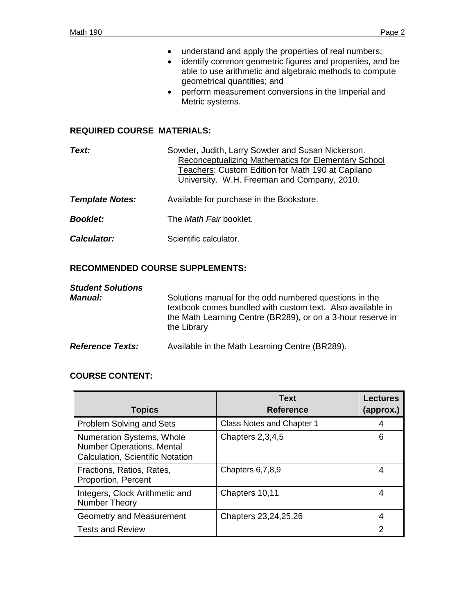- understand and apply the properties of real numbers;
- identify common geometric figures and properties, and be able to use arithmetic and algebraic methods to compute geometrical quantities; and
- perform measurement conversions in the Imperial and Metric systems.

### **REQUIRED COURSE MATERIALS:**

| Text:                  | Sowder, Judith, Larry Sowder and Susan Nickerson.<br>Reconceptualizing Mathematics for Elementary School<br>Teachers: Custom Edition for Math 190 at Capilano<br>University. W.H. Freeman and Company, 2010. |
|------------------------|--------------------------------------------------------------------------------------------------------------------------------------------------------------------------------------------------------------|
| <b>Template Notes:</b> | Available for purchase in the Bookstore.                                                                                                                                                                     |
| <b>Booklet:</b>        | The <i>Math Fair</i> booklet.                                                                                                                                                                                |
| <b>Calculator:</b>     | Scientific calculator.                                                                                                                                                                                       |

# **RECOMMENDED COURSE SUPPLEMENTS:**

| <b>Student Solutions</b><br><i><b>Manual:</b></i> | Solutions manual for the odd numbered questions in the<br>textbook comes bundled with custom text. Also available in<br>the Math Learning Centre (BR289), or on a 3-hour reserve in<br>the Library |
|---------------------------------------------------|----------------------------------------------------------------------------------------------------------------------------------------------------------------------------------------------------|
| <b>Reference Texts:</b>                           | Available in the Math Learning Centre (BR289).                                                                                                                                                     |

# **COURSE CONTENT:**

| <b>Topics</b>                                                                                     | <b>Text</b><br><b>Reference</b> | <b>Lectures</b><br>(approx.) |
|---------------------------------------------------------------------------------------------------|---------------------------------|------------------------------|
| <b>Problem Solving and Sets</b>                                                                   | Class Notes and Chapter 1       |                              |
| Numeration Systems, Whole<br><b>Number Operations, Mental</b><br>Calculation, Scientific Notation | Chapters 2,3,4,5                | 6                            |
| Fractions, Ratios, Rates,<br>Proportion, Percent                                                  | Chapters 6,7,8,9                | 4                            |
| Integers, Clock Arithmetic and<br>Number Theory                                                   | Chapters 10,11                  | 4                            |
| Geometry and Measurement                                                                          | Chapters 23, 24, 25, 26         | 4                            |
| <b>Tests and Review</b>                                                                           |                                 | 2                            |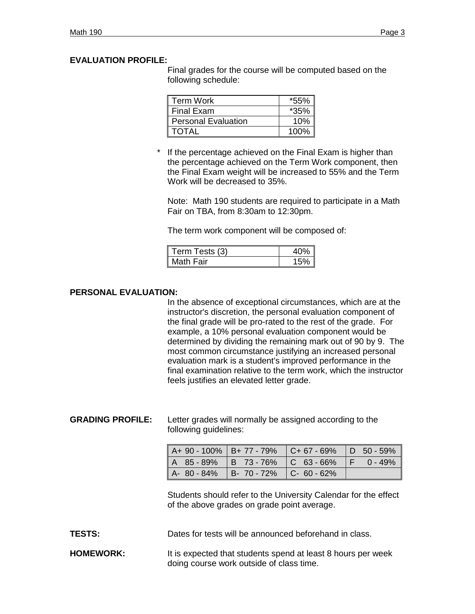## **EVALUATION PROFILE:**

Final grades for the course will be computed based on the following schedule:

| Term Work                  |        |
|----------------------------|--------|
| <b>Final Exam</b>          | $*35%$ |
| <b>Personal Evaluation</b> | 10%    |
| TOTAI                      | 100%   |

If the percentage achieved on the Final Exam is higher than the percentage achieved on the Term Work component, then the Final Exam weight will be increased to 55% and the Term Work will be decreased to 35%.

Note: Math 190 students are required to participate in a Math Fair on TBA, from 8:30am to 12:30pm.

The term work component will be composed of:

| Term Tests (3) |  |
|----------------|--|
| Math Fair      |  |

## **PERSONAL EVALUATION:**

In the absence of exceptional circumstances, which are at the instructor's discretion, the personal evaluation component of the final grade will be pro-rated to the rest of the grade. For example, a 10% personal evaluation component would be determined by dividing the remaining mark out of 90 by 9. The most common circumstance justifying an increased personal evaluation mark is a student's improved performance in the final examination relative to the term work, which the instructor feels justifies an elevated letter grade.

**GRADING PROFILE:** Letter grades will normally be assigned according to the following guidelines:

| $A+90-100\%$   B+ 77 - 79%   C+ 67 - 69%   D 50 - 59% |  |  |
|-------------------------------------------------------|--|--|
| A 85-89% B 73-76% C 63-66% F 0-49%                    |  |  |
| $A - 80 - 84\%$ B-70 - 72% C-60 - 62%                 |  |  |

Students should refer to the University Calendar for the effect of the above grades on grade point average.

**TESTS:** Dates for tests will be announced beforehand in class.

**HOMEWORK:** It is expected that students spend at least 8 hours per week doing course work outside of class time.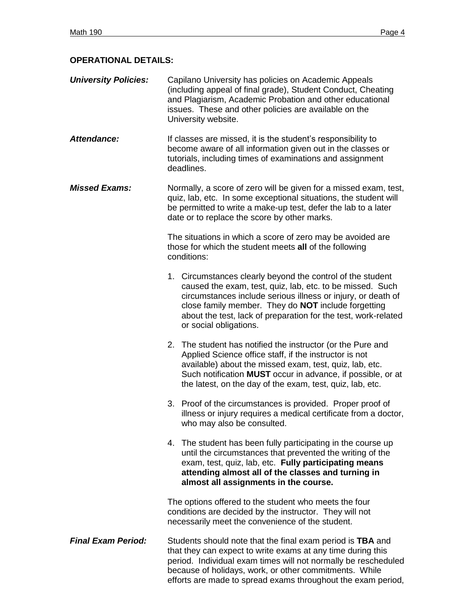# **OPERATIONAL DETAILS:**

| <b>University Policies:</b> | Capilano University has policies on Academic Appeals<br>(including appeal of final grade), Student Conduct, Cheating<br>and Plagiarism, Academic Probation and other educational<br>issues. These and other policies are available on the |
|-----------------------------|-------------------------------------------------------------------------------------------------------------------------------------------------------------------------------------------------------------------------------------------|
|                             | University website.                                                                                                                                                                                                                       |

- Attendance: If classes are missed, it is the student's responsibility to become aware of all information given out in the classes or tutorials, including times of examinations and assignment deadlines.
- *Missed Exams:* Normally, a score of zero will be given for a missed exam, test, quiz, lab, etc. In some exceptional situations, the student will be permitted to write a make-up test, defer the lab to a later date or to replace the score by other marks.

The situations in which a score of zero may be avoided are those for which the student meets **all** of the following conditions:

- 1. Circumstances clearly beyond the control of the student caused the exam, test, quiz, lab, etc. to be missed. Such circumstances include serious illness or injury, or death of close family member. They do **NOT** include forgetting about the test, lack of preparation for the test, work-related or social obligations.
- 2. The student has notified the instructor (or the Pure and Applied Science office staff, if the instructor is not available) about the missed exam, test, quiz, lab, etc. Such notification **MUST** occur in advance, if possible, or at the latest, on the day of the exam, test, quiz, lab, etc.
- 3. Proof of the circumstances is provided. Proper proof of illness or injury requires a medical certificate from a doctor, who may also be consulted.
- 4. The student has been fully participating in the course up until the circumstances that prevented the writing of the exam, test, quiz, lab, etc. **Fully participating means attending almost all of the classes and turning in almost all assignments in the course.**

The options offered to the student who meets the four conditions are decided by the instructor. They will not necessarily meet the convenience of the student.

*Final Exam Period:* Students should note that the final exam period is **TBA** and that they can expect to write exams at any time during this period. Individual exam times will not normally be rescheduled because of holidays, work, or other commitments. While efforts are made to spread exams throughout the exam period,